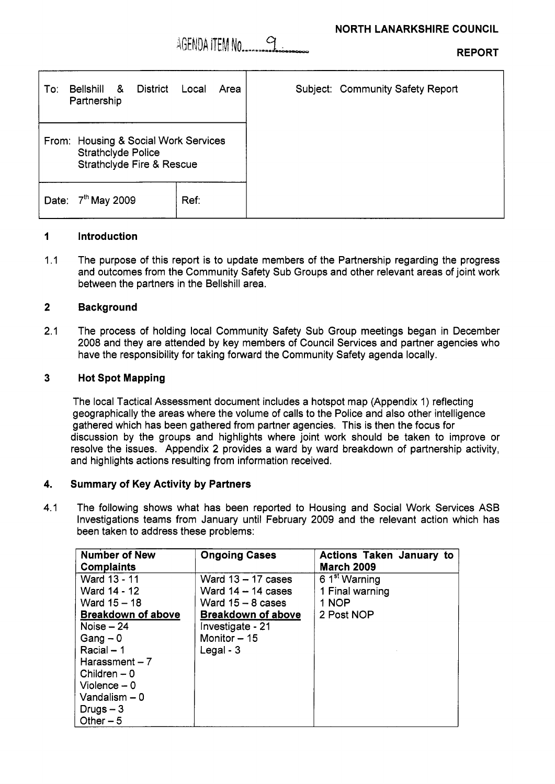**REPORT** 

| Bellshill<br>To:<br>Partnership | &<br><b>District</b>                                                                                      | Local<br>Area | Subject: Community Safety Report |
|---------------------------------|-----------------------------------------------------------------------------------------------------------|---------------|----------------------------------|
|                                 | From: Housing & Social Work Services<br><b>Strathclyde Police</b><br><b>Strathclyde Fire &amp; Rescue</b> |               |                                  |
| Date:                           | 7 <sup>th</sup> May 2009                                                                                  | Ref:          |                                  |

#### **1 Introduction**

 $1.1$ The purpose of this report is to update members of the Partnership regarding the progress and outcomes from the Community Safety Sub Groups and other relevant areas of joint work between the partners in the Bellshill area.

#### **2 Background**

2.1 The process of holding local Community Safety Sub Group meetings began in December 2008 and they are attended by key members of Council Services and partner agencies who have the responsibility for taking forward the Community Safety agenda locally.

#### **3 Hot Spot Mapping**

The local Tactical Assessment document includes a hotspot map (Appendix 1) reflecting geographically the areas where the volume of calls to the Police and also other intelligence gathered which has been gathered from partner agencies. This is then the focus for discussion by the groups and highlights where joint work should be taken to improve or resolve the issues. Appendix **2** provides a ward by ward breakdown of partnership activity, and highlights actions resulting from information received.

#### **4. Summary of Key Activity by Partners**

4.1 The following shows what has been reported to Housing and Social Work Services ASB Investigations teams from January until February 2009 and the relevant action which has been taken to address these problems:

| <b>Number of New</b><br><b>Complaints</b> | <b>Ongoing Cases</b>      | Actions Taken January to<br><b>March 2009</b> |
|-------------------------------------------|---------------------------|-----------------------------------------------|
| Ward 13 - 11                              | Ward $13 - 17$ cases      | 6 1 <sup>st</sup> Warning                     |
| Ward 14 - 12                              | Ward $14 - 14$ cases      | 1 Final warning                               |
| Ward 15 - 18                              | Ward $15 - 8$ cases       | 1 NOP                                         |
| <b>Breakdown of above</b>                 | <b>Breakdown of above</b> | 2 Post NOP                                    |
| Noise $-24$                               | Investigate - 21          |                                               |
| $Gang - 0$                                | Monitor $-15$             |                                               |
| $Racial - 1$                              | Legal - $3$               |                                               |
| Harassment $-7$                           |                           |                                               |
| Children $-0$                             |                           |                                               |
| $V$ iolence $-0$                          |                           |                                               |
| Vandalism $-0$                            |                           |                                               |
| Drugs $-3$                                |                           |                                               |
| Other $-5$                                |                           |                                               |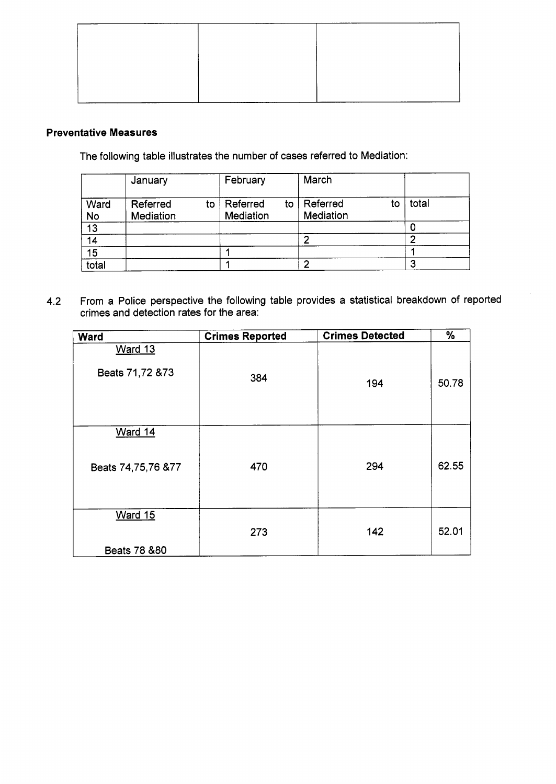# **Preventative Measures**

The following table illustrates the number of cases referred to Mediation:

|                   | January               |    | February              |    | March                 |    |       |  |
|-------------------|-----------------------|----|-----------------------|----|-----------------------|----|-------|--|
| Ward<br><b>No</b> | Referred<br>Mediation | to | Referred<br>Mediation | to | Referred<br>Mediation | to | total |  |
| 13                |                       |    |                       |    |                       |    |       |  |
| 14                |                       |    |                       |    |                       |    |       |  |
| 15                |                       |    |                       |    |                       |    |       |  |
| total             |                       |    |                       |    |                       |    |       |  |

4.2 From a Police perspective the following table provides a statistical breakdown of reported crimes and detection rates for the area:

| <b>Ward</b>                     | <b>Crimes Reported</b> | <b>Crimes Detected</b> | %     |
|---------------------------------|------------------------|------------------------|-------|
| Ward 13<br>Beats 71,72 & 73     | 384                    | 194                    | 50.78 |
| Ward 14<br>Beats 74,75,76 &77   | 470                    | 294                    | 62.55 |
| <b>Ward 15</b><br>Beats 78 & 80 | 273                    | 142                    | 52.01 |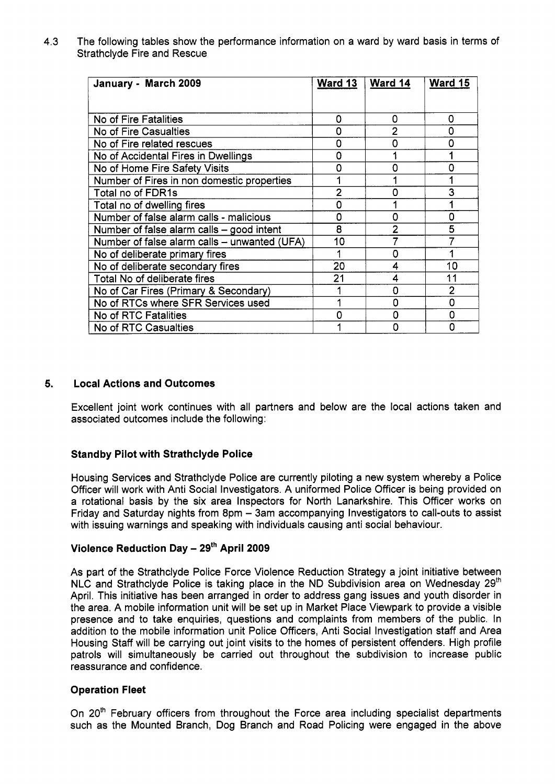**4.3** The following tables show the performance information on a ward by ward basis in terms of Strathclyde Fire and Rescue

| January - March 2009                         | <b>Ward 13</b> | Ward 14        | <b>Ward 15</b> |
|----------------------------------------------|----------------|----------------|----------------|
|                                              |                |                |                |
| No of Fire Fatalities                        | Ω              | 0              | 0              |
| No of Fire Casualties                        | 0              | $\overline{2}$ | n              |
| No of Fire related rescues                   | 0              | 0              |                |
| No of Accidental Fires in Dwellings          | Ω              |                |                |
| No of Home Fire Safety Visits                | n              | O              |                |
| Number of Fires in non domestic properties   |                |                |                |
| Total no of FDR1s                            | $\overline{2}$ | 0              | 3              |
| Total no of dwelling fires                   | 0              |                |                |
| Number of false alarm calls - malicious      | 0              | n              | n              |
| Number of false alarm calls - good intent    | 8              | 2              | 5              |
| Number of false alarm calls - unwanted (UFA) | 10             |                |                |
| No of deliberate primary fires               |                | 0              |                |
| No of deliberate secondary fires             | 20             | 4              | 10             |
| Total No of deliberate fires                 | 21             | 4              | 11             |
| No of Car Fires (Primary & Secondary)        |                | Ω              | $\overline{2}$ |
| No of RTCs where SFR Services used           |                | O              | n              |
| No of RTC Fatalities                         | n              |                |                |
| No of RTC Casualties                         |                |                |                |

# **5. Local Actions and Outcomes**

Excellent joint work continues with all partners and below are the local actions taken and associated outcomes include the following:

### **Standby Pilot with Strathclyde Police**

Housing Services and Strathclyde Police are currently piloting a new system whereby a Police Officer will work with Anti Social Investigators. A uniformed Police Officer is being provided on a rotational basis by the six area Inspectors for North Lanarkshire. This Officer works on Friday and Saturday nights from 8pm - 3am accompanying Investigators to call-outs to assist with issuing warnings and speaking with individuals causing anti social behaviour.

# **Violence Reduction Day** - **2gfh April 2009**

As part of the Strathclyde Police Force Violence Reduction Strategy a joint initiative between NLC and Strathclyde Police is taking place in the ND Subdivision area on Wednesday  $29<sup>th</sup>$ April. This initiative has been arranged in order to address gang issues and youth disorder in the area. A mobile information unit will be set up in Market Place Viewpark to provide a visible presence and to take enquiries, questions and complaints from members of the public. In addition to the mobile information unit Police Officers, Anti Social Investigation staff and Area Housing Staff will be carrying out joint visits to the homes of persistent offenders. High profile patrols will simultaneously be carried out throughout the subdivision to increase public reassurance and confidence.

### **Operation Fleet**

On 20<sup>th</sup> February officers from throughout the Force area including specialist departments such as the Mounted Branch, Dog Branch and Road Policing were engaged in the above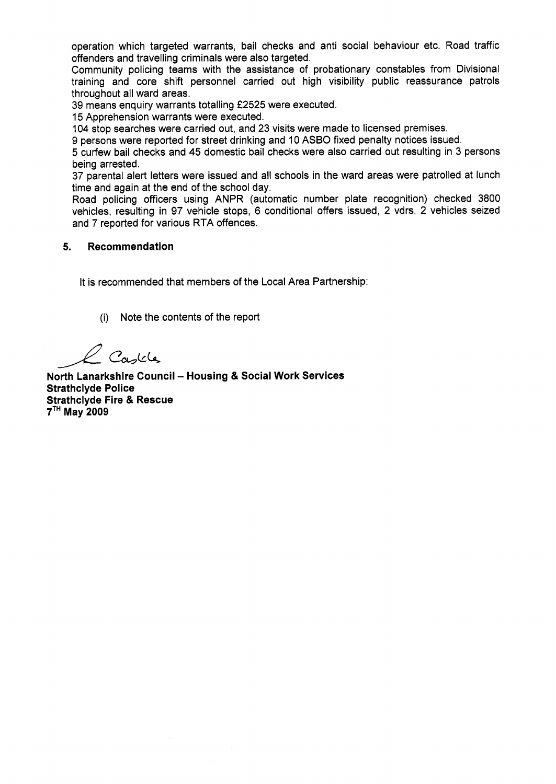operation which targeted warrants, bail checks and anti social behaviour etc. Road traffic offenders and travelling criminals were also targeted.

Community policing teams with the assistance of probationary constables from Divisional training and core shift personnel carried out high visibility public reassurance patrols throughout all ward areas.

39 means enquiry warrants totalling **f2525** were executed.

15 Apprehension warrants were executed.

104 stop searches were carried out, and 23 visits were made to licensed premises.

9 persons were reported for street drinking and 10 ASBO fixed penalty notices issued.

*5* curfew bail checks and **45** domestic bail checks were also carried out resulting in 3 persons being arrested.

37 parental alert letters were issued and all schools in the ward areas were patrolled at lunch time and again at the end of the school day.

Road policing officers using ANPR (automatic number plate recognition) checked 3800 vehicles, resulting in 97 vehicle stops, **6** conditional offers issued, 2 vdrs, 2 vehicles seized and 7 reported for various RTA offences.

### **5. Recommendation**

It is recommended that members of the Local Area Partnership:

(i) Note the contents of the report

*A* 

**North Lanarkshire Council - Housing & Social Work Services Strathclyde Police Strathclyde Fire** & **Rescue 7TH May 2009**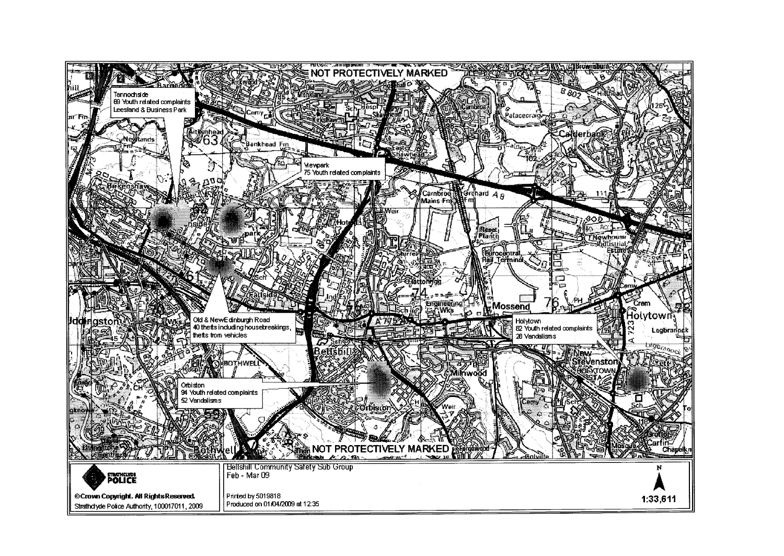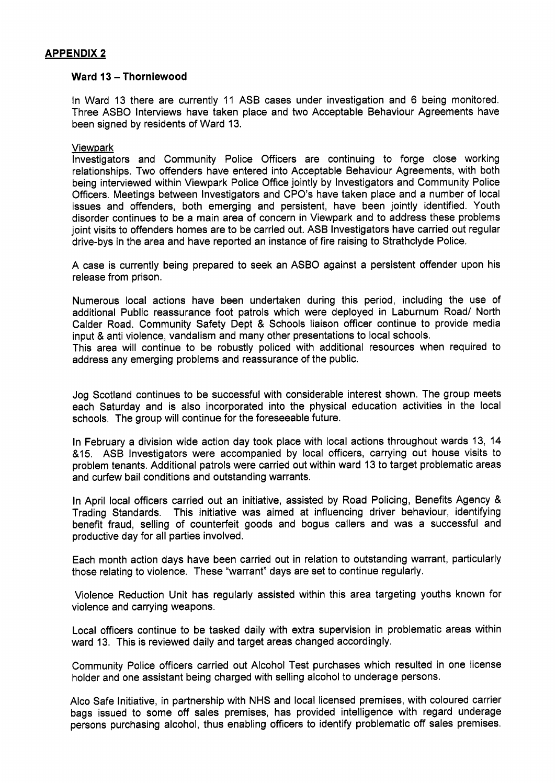# **APPENDIX 2**

### **Ward 13** - **Thorniewood**

In Ward 13 there are currently 11 ASB cases under investigation and 6 being monitored. Three ASBO Interviews have taken place and **two** Acceptable Behaviour Agreements have been signed by residents of Ward 13.

### Viewpark

Investigators and Community Police Officers are continuing to forge close working relationships. Two offenders have entered into Acceptable Behaviour Agreements, with both being interviewed within Viewpark Police Office jointly by Investigators and Community Police Officers. Meetings between Investigators and CPO's have taken place and a number of local issues and offenders, both emerging and persistent, have been jointly identified. Youth disorder continues to be a main area of concern in Viewpark and to address these problems joint visits to offenders homes are to be carried out. ASB Investigators have carried out regular drive-bys in the area and have reported an instance of fire raising to Strathclyde Police.

A case is currently being prepared to seek an ASBO against a persistent offender upon his release from prison.

Numerous local actions have been undertaken during this period, including the use of additional Public reassurance foot patrols which were deployed in Laburnum Road/ North Calder Road. Community Safety Dept & Schools liaison officer continue to provide media input & anti violence, vandalism and many other presentations to local schools.

This area will continue to be robustly policed with additional resources when required to address any emerging problems and reassurance of the public.

Jog Scotland continues to be successful with considerable interest shown. The group meets each Saturday and is also incorporated into the physical education activities in the local schools. The group will continue for the foreseeable future.

In February a division wide action day took place with local actions throughout wards 13, 14 &15. ASB Investigators were accompanied by local officers, carrying out house visits to problem tenants. Additional patrols were carried out within ward 13 to target problematic areas and curfew bail conditions and outstanding warrants.

In April local officers carried out an initiative, assisted by Road Policing, Benefits Agency & Trading Standards. This initiative was aimed at influencing driver behaviour, identifying benefit fraud, selling of counterfeit goods and bogus callers and was a successful and productive day for all parties involved.

Each month action days have been carried out in relation to outstanding warrant, particularly those relating to violence. These "warrant" days are set to continue regularly.

Violence Reduction Unit has regularly assisted within this area targeting youths known for violence and carrying weapons.

Local officers continue to be tasked daily with extra supervision in problematic areas within ward 13. This is reviewed daily and target areas changed accordingly.

Community Police officers carried out Alcohol Test purchases which resulted in one license holder and one assistant being charged with selling alcohol to underage persons.

Alco Safe Initiative, in partnership with NHS and local licensed premises, with coloured carrier bags issued to some off sales premises, has provided intelligence with regard underage persons purchasing alcohol, thus enabling officers to identify problematic off sales premises.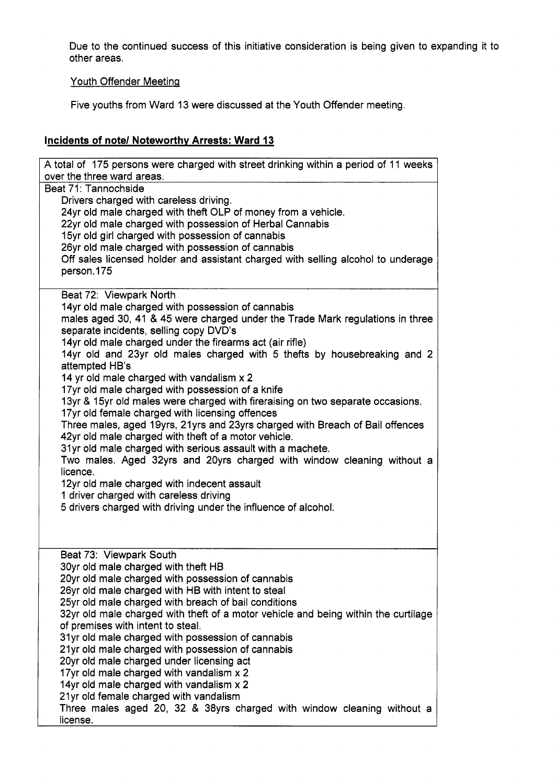Due to the continued success of this initiative consideration is being given to expanding it to other areas.

# Youth Offender Meeting

Five youths from Ward 13 were discussed at the Youth Offender meeting.

# **Incidents of note/ Noteworthv Arrests: Ward 13**

| A total of 175 persons were charged with street drinking within a period of 11 weeks<br>over the three ward areas. |
|--------------------------------------------------------------------------------------------------------------------|
| Beat 71: Tannochside                                                                                               |
| Drivers charged with careless driving.                                                                             |
| 24yr old male charged with theft OLP of money from a vehicle.                                                      |
| 22yr old male charged with possession of Herbal Cannabis                                                           |
| 15yr old girl charged with possession of cannabis                                                                  |
| 26yr old male charged with possession of cannabis                                                                  |
| Off sales licensed holder and assistant charged with selling alcohol to underage<br>person.175                     |
|                                                                                                                    |
| Beat 72: Viewpark North                                                                                            |
| 14yr old male charged with possession of cannabis                                                                  |
| males aged 30, 41 & 45 were charged under the Trade Mark regulations in three                                      |
| separate incidents, selling copy DVD's                                                                             |
| 14yr old male charged under the firearms act (air rifle)                                                           |
| 14yr old and 23yr old males charged with 5 thefts by housebreaking and 2<br>attempted HB's                         |
| 14 yr old male charged with vandalism x 2                                                                          |
| 17yr old male charged with possession of a knife                                                                   |
| 13yr & 15yr old males were charged with fireraising on two separate occasions.                                     |
| 17yr old female charged with licensing offences                                                                    |
| Three males, aged 19yrs, 21yrs and 23yrs charged with Breach of Bail offences                                      |
| 42yr old male charged with theft of a motor vehicle.                                                               |
| 31yr old male charged with serious assault with a machete.                                                         |
| Two males. Aged 32yrs and 20yrs charged with window cleaning without a<br>licence.                                 |
| 12yr old male charged with indecent assault                                                                        |
| 1 driver charged with careless driving                                                                             |
| 5 drivers charged with driving under the influence of alcohol.                                                     |
|                                                                                                                    |
|                                                                                                                    |
| Beat 73: Viewpark South                                                                                            |
| 30yr old male charged with theft HB                                                                                |
| 20yr old male charged with possession of cannabis                                                                  |
| 26yr old male charged with HB with intent to steal                                                                 |
| 25yr old male charged with breach of bail conditions                                                               |
| 32yr old male charged with theft of a motor vehicle and being within the curtilage                                 |
| of premises with intent to steal.                                                                                  |
| 31yr old male charged with possession of cannabis                                                                  |
| 21yr old male charged with possession of cannabis                                                                  |
| 20yr old male charged under licensing act<br>17yr old male charged with vandalism x 2                              |
| 14yr old male charged with vandalism x 2                                                                           |
| 21yr old female charged with vandalism                                                                             |
| Three males aged 20, 32 & 38yrs charged with window cleaning without a                                             |
| license.                                                                                                           |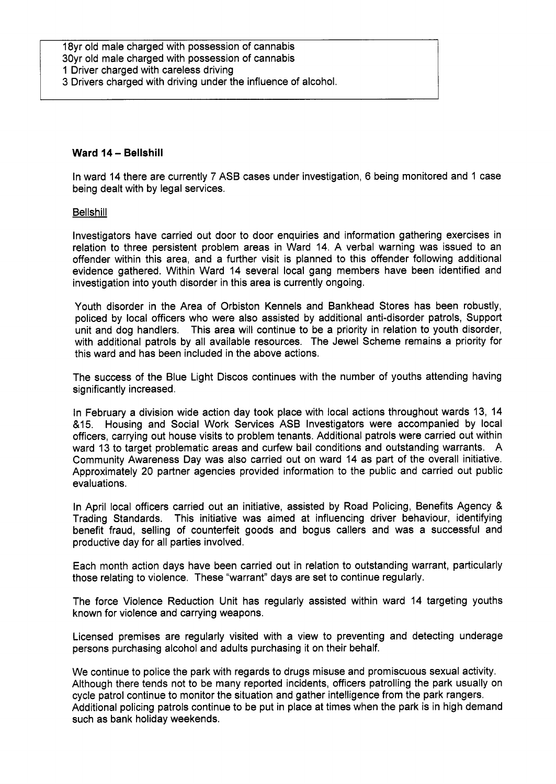## **Ward 14** - **Bellshill**

In ward 14 there are currently **7** ASB cases under investigation, 6 being monitored and 1 case being dealt with by legal services.

### **Bellshill**

Investigators have carried out door to door enquiries and information gathering exercises in relation to three persistent problem areas in Ward 14. A verbal warning was issued to an offender within this area, and a further visit is planned to this offender following additional evidence gathered. Within Ward 14 several local gang members have been identified and investigation into youth disorder in this area is currently ongoing.

Youth disorder in the Area of Orbiston Kennels and Bankhead Stores has been robustly, policed by local officers who were also assisted by additional anti-disorder patrols, Support unit and dog handlers. This area will continue to be a priority in relation to youth disorder, with additional patrols by all available resources. The Jewel Scheme remains a priority for this ward and has been included in the above actions.

The success of the Blue Light Discos continues with the number of youths attending having significantly increased.

In February a division wide action day took place with local actions throughout wards 13, 14 &I5 Housing and Social Work Services ASB Investigators were accompanied by local officers, carrying out house visits to problem tenants. Additional patrols were carried out within ward 13 to target problematic areas and curfew bail conditions and outstanding warrants. A Community Awareness Day was also carried out on ward 14 as part of the overall initiative. Approximately 20 partner agencies provided information to the public and carried out public evaluations.

In April local officers carried out an initiative, assisted by Road Policing, Benefits Agency & Trading Standards. This initiative was aimed at influencing driver behaviour, identifying benefit fraud, selling of counterfeit goods and bogus callers and was a successful and productive day for all parties involved.

Each month action days have been carried out in relation to outstanding warrant, particularly those relating to violence. These "warrant" days are set to continue regularly.

The force Violence Reduction Unit has regularly assisted within ward 14 targeting youths known for violence and carrying weapons.

Licensed premises are regularly visited with a view to preventing and detecting underage persons purchasing alcohol and adults purchasing it on their behalf.

We continue to police the park with regards to drugs misuse and promiscuous sexual activity. Although there tends not to be many reported incidents, officers patrolling the park usually on cycle patrol continue to monitor the situation and gather intelligence from the park rangers. Additional policing patrols continue to be put in place at times when the park is in high demand such as bank holiday weekends.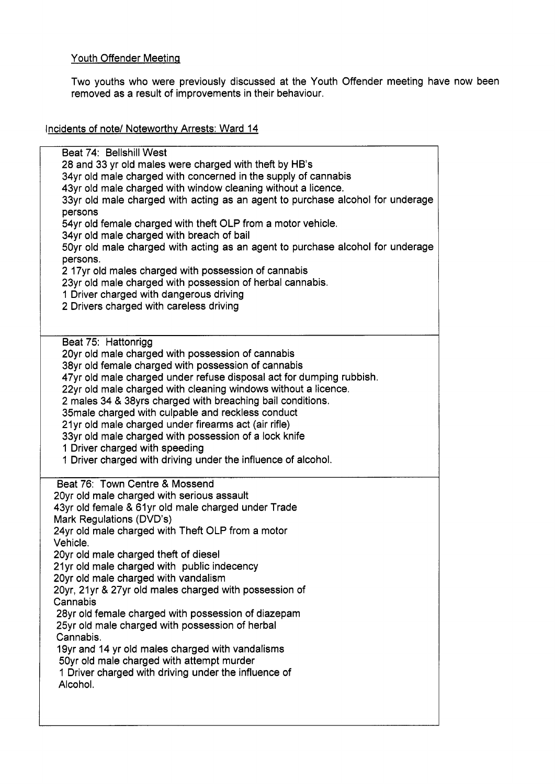# Youth Offender Meeting

Two youths who were previously discussed at the Youth Offender meeting have now been removed as a result of improvements in their behaviour.

Incidents of note/ Noteworthv Arrests: Ward 14

Beat 74: Bellshill West 28 and 33 yr old males were charged with theft by HB's 34yr old male charged with concerned in the supply of cannabis 43yr old male charged with window cleaning without a licence. 33yr old male charged with acting as an agent to purchase alcohol for underage persons 54yr old female charged with theft OLP from a motor vehicle. 34yr old male charged with breach of bail 50yr old male charged with acting as an agent to purchase alcohol for underage persons. 2 17yr old males charged with possession of cannabis 23yr old male charged with possession of herbal cannabis. 1 Driver charged with dangerous driving 2 Drivers charged with careless driving Beat 75: Hattonrigg 20yr old male charged with possession of cannabis 38yr old female charged with possession of cannabis 47yr old male charged under refuse disposal act for dumping rubbish. 22yr old male charged with cleaning windows without a licence. 2 males 34 & 38yrs charged with breaching bail conditions. 35male charged with culpable and reckless conduct 21yr old male charged under firearms act (air rifle) 33yr old male charged with possession of a lock knife 1 Driver charged with speeding 1 Driver charged with driving under the influence of alcohol. Beat 76: Town Centre & Mossend 20yr old male charged with serious assault 43yr old female & 61yr old male charged under Trade Mark Regulations (DVD's) 24yr old male charged with Theft OLP from a motor Vehicle. 20yr old male charged theft of diesel 21yr old male charged with public indecency 20yr old male charged with vandalism 20yr, 21yr & 27yr old males charged with possession of Cannabis 28yr old female charged with possession of diazepam 25yr old male charged with possession of herbal Cannabis. 19yr and 14 yr old males charged with vandalisms 50yr old male charged with attempt murder 1 Driver charged with driving under the influence of Alcohol.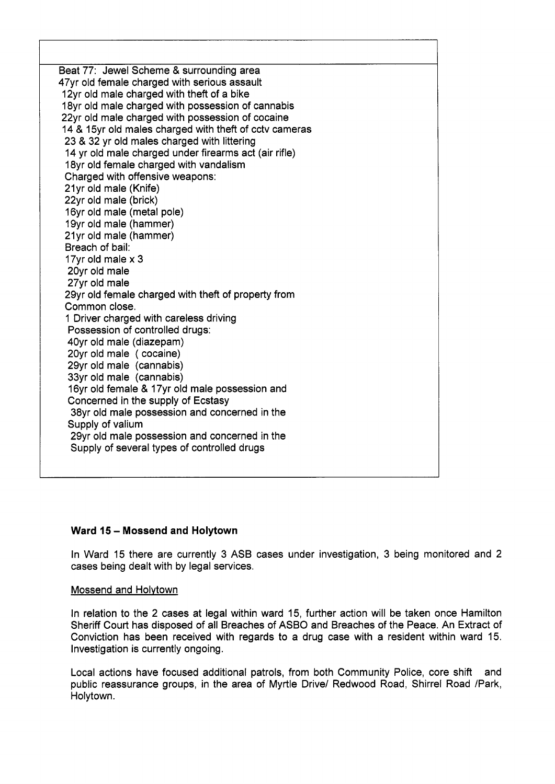Beat 77: Jewel Scheme & surrounding area 47yr old female charged with serious assault 12yr old male charged with theft of a bike 18yr old male charged with possession of cannabis 22yr old male charged with possession of cocaine 14 & 15yr old males charged with theft of cctv cameras 23 & 32 yr old males charged with littering 14 yr old male charged under firearms act (air rifle) 18yr old female charged with vandalism Charged with offensive weapons: 21yr old male (Knife) 22yr old male (brick) 16yr old male (metal pole) 19yr old male (hammer) 21yr old male (hammer) Breach of bail: 17yr old male **x** 3 20yr old male 27yr old male 29yr old female charged with theft of property from Common close. 1 Driver charged with careless driving Possession of controlled drugs: 40yr old male (diazepam) 20yr old male ( cocaine) 29yr old male (cannabis) 33yr old male (cannabis) 16yr old female & 17yr old male possession and Concerned in the supply of Ecstasy 38yr old male possession and concerned in the Supply of valium 29yr old male possession and concerned in the Supply of several types of controlled drugs

# **Ward 15** - **Mossend and Holytown**

In Ward 15 there are currently 3 ASB cases under investigation, 3 being monitored and 2 cases being dealt with by legal services.

#### Mossend and Holvtown

In relation to the 2 cases at legal within ward 15, further action will be taken once Hamilton Sheriff Court has disposed of all Breaches of ASBO and Breaches of the Peace. An Extract of Conviction has been received with regards to a drug case with a resident within ward 15. Investigation is currently ongoing.

Local actions have focused additional patrols, from both Community Police, core shift and public reassurance groups, in the area of Myrtle Drive/ Redwood Road, Shirrel Road /Park, Holytown.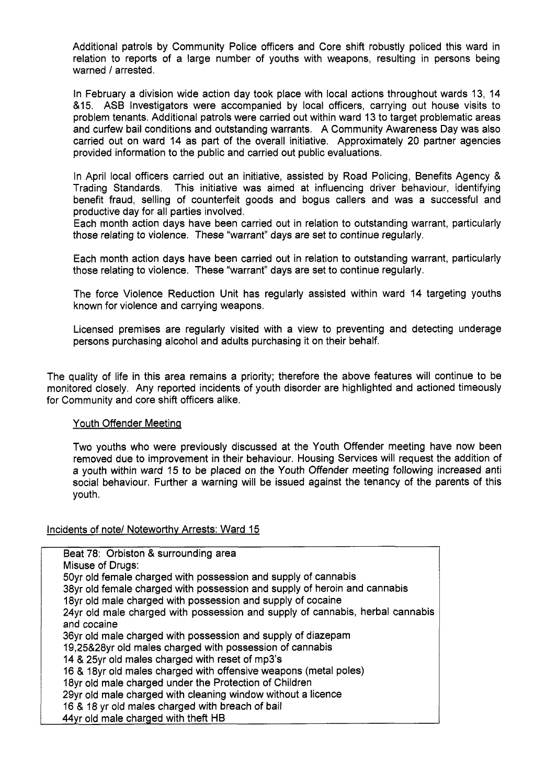Additional patrols by Community Police officers and Core shift robustly policed this ward in relation to reports of a large number of youths with weapons, resulting in persons being warned / arrested.

In February a division wide action day took place with local actions throughout wards 13, 14 &15. ASB Investigators were accompanied by local officers, carrying out house visits to problem tenants. Additional patrols were carried out within ward 13 to target problematic areas and curfew bail conditions and outstanding warrants. A Community Awareness Day was also carried out on ward 14 as part of the overall initiative. Approximately 20 partner agencies provided information to the public and carried out public evaluations.

In April local officers carried out an initiative, assisted by Road Policing, Benefits Agency & Trading Standards. This initiative was aimed at influencing driver behaviour, identifying benefit fraud, selling of counterfeit goods and bogus callers and was a successful and productive day for all parties involved.

Each month action days have been carried out in relation to outstanding warrant, particularly those relating to violence. These "warrant" days are set to continue regularly.

Each month action days have been carried out in relation to outstanding warrant, particularly those relating to violence. These "warrant" days are set to continue regularly.

The force Violence Reduction Unit has regularly assisted within ward 14 targeting youths known for violence and carrying weapons.

Licensed premises are regularly visited with a view to preventing and detecting underage persons purchasing alcohol and adults purchasing it on their behalf.

The quality of life in this area remains a priority; therefore the above features will continue to be monitored closely. Any reported incidents of youth disorder are highlighted and actioned timeously for Community and core shift officers alike.

### Youth Offender Meeting

Two youths who were previously discussed at the Youth Offender meeting have now been removed due to improvement in their behaviour. Housing Services will request the addition of a youth within ward 15 to be placed on the Youth Offender meeting following increased anti social behaviour. Further a warning will be issued against the tenancy of the parents of this youth.

### Incidents of note/ Noteworthv Arrests: Ward 15

Beat 78: Orbiston & surrounding area Misuse of Drugs: 50yr old female charged with possession and supply of cannabis 38yr old female charged with possession and supply of heroin and cannabis 18yr old male charged with possession and supply of cocaine 24yr old male charged with possession and supply of cannabis, herbal cannabis and cocaine 36yr old male charged with possession and supply of diazepam 19,25&28yr old males charged with possession of cannabis 14 & 25yr old males charged with reset of mp3's 16 & 18yr old males charged with offensive weapons (metal poles) 18yr old male charged under the Protection of Children 29yr old male charged with cleaning window without a licence 16 & 18 yr old males charged with breach of bail 44yr old male charged with theft HB